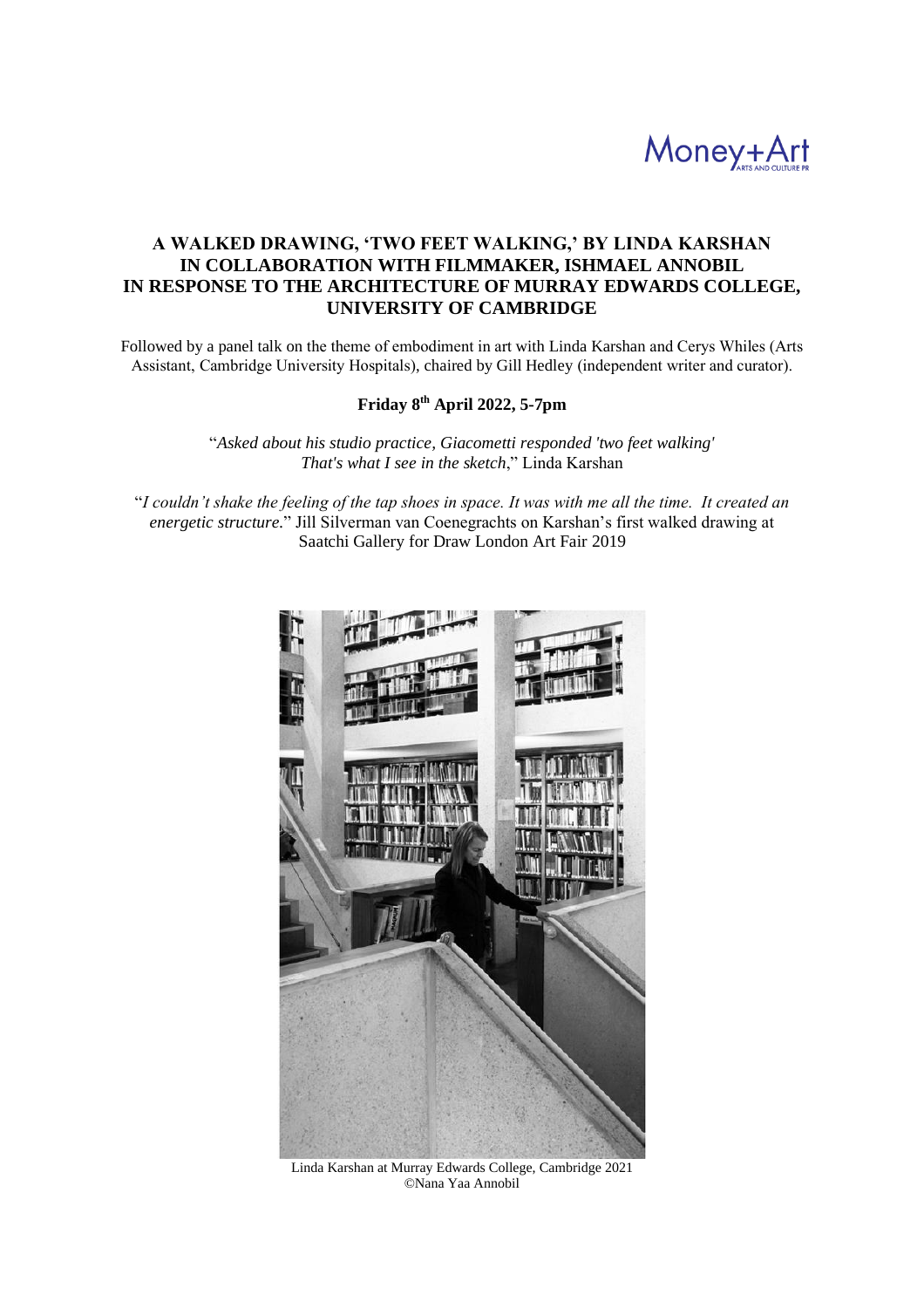

# **A WALKED DRAWING, 'TWO FEET WALKING,' BY LINDA KARSHAN IN COLLABORATION WITH FILMMAKER, ISHMAEL ANNOBIL IN RESPONSE TO THE ARCHITECTURE OF MURRAY EDWARDS COLLEGE, UNIVERSITY OF CAMBRIDGE**

Followed by a panel talk on the theme of embodiment in art with Linda Karshan and Cerys Whiles (Arts Assistant, Cambridge University Hospitals), chaired by Gill Hedley (independent writer and curator).

## **Friday 8 th April 2022, 5-7pm**

"*Asked about his studio practice, Giacometti responded 'two feet walking' That's what I see in the sketch*," Linda Karshan

"*I couldn't shake the feeling of the tap shoes in space. It was with me all the time. It created an energetic structure.*" Jill Silverman van Coenegrachts on Karshan's first walked drawing at Saatchi Gallery for Draw London Art Fair 2019



Linda Karshan at Murray Edwards College, Cambridge 2021 ©Nana Yaa Annobil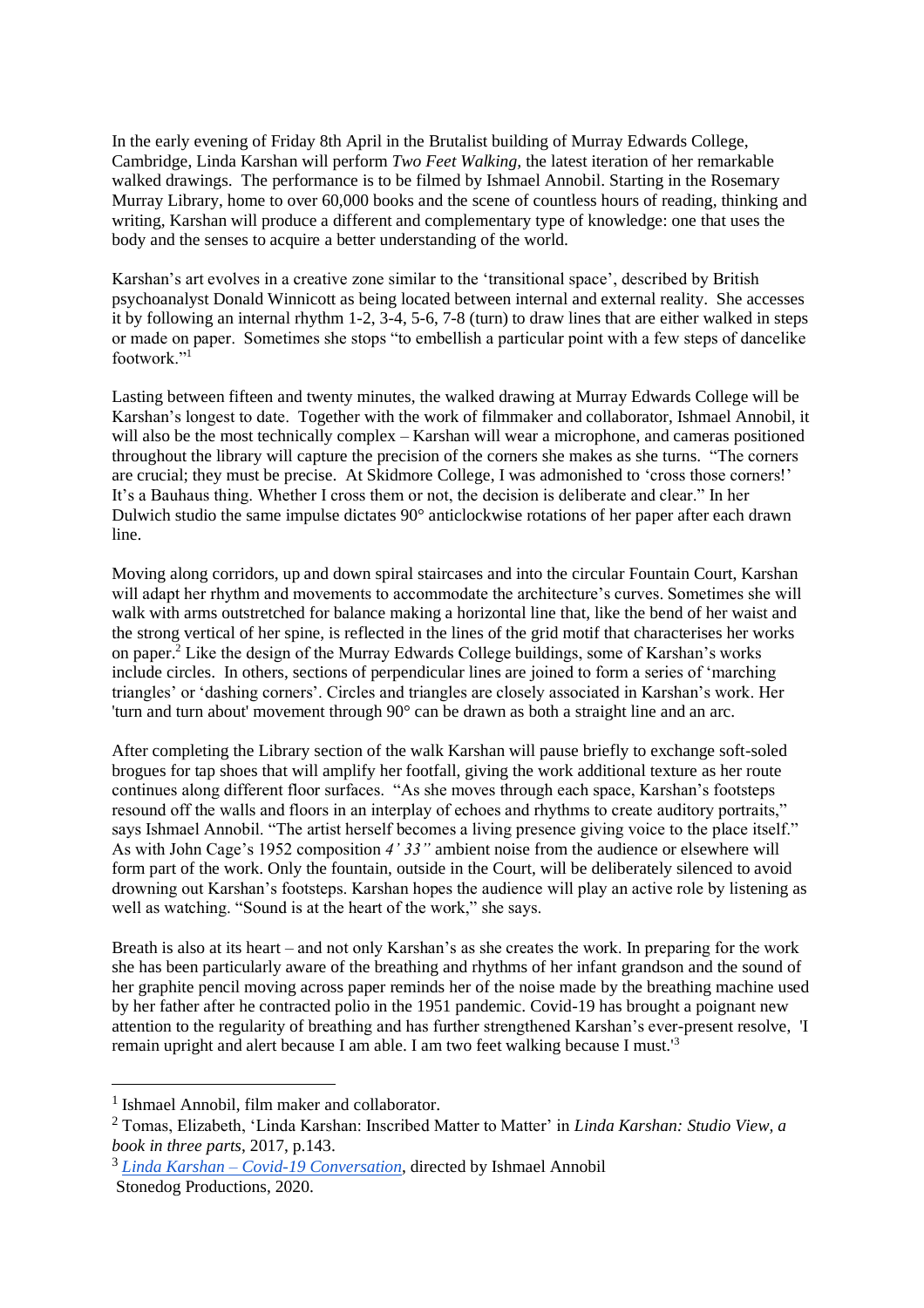In the early evening of Friday 8th April in the Brutalist building of Murray Edwards College, Cambridge, Linda Karshan will perform *Two Feet Walking,* the latest iteration of her remarkable walked drawings. The performance is to be filmed by Ishmael Annobil. Starting in the Rosemary Murray Library, home to over 60,000 books and the scene of countless hours of reading, thinking and writing, Karshan will produce a different and complementary type of knowledge: one that uses the body and the senses to acquire a better understanding of the world.

Karshan's art evolves in a creative zone similar to the 'transitional space', described by British psychoanalyst Donald Winnicott as being located between internal and external reality. She accesses it by following an internal rhythm 1-2, 3-4, 5-6, 7-8 (turn) to draw lines that are either walked in steps or made on paper. Sometimes she stops "to embellish a particular point with a few steps of dancelike footwork."<sup>1</sup>

Lasting between fifteen and twenty minutes, the walked drawing at Murray Edwards College will be Karshan's longest to date. Together with the work of filmmaker and collaborator, Ishmael Annobil, it will also be the most technically complex – Karshan will wear a microphone, and cameras positioned throughout the library will capture the precision of the corners she makes as she turns. "The corners are crucial; they must be precise. At Skidmore College, I was admonished to 'cross those corners!' It's a Bauhaus thing. Whether I cross them or not, the decision is deliberate and clear." In her Dulwich studio the same impulse dictates 90° anticlockwise rotations of her paper after each drawn line.

Moving along corridors, up and down spiral staircases and into the circular Fountain Court, Karshan will adapt her rhythm and movements to accommodate the architecture's curves. Sometimes she will walk with arms outstretched for balance making a horizontal line that, like the bend of her waist and the strong vertical of her spine, is reflected in the lines of the grid motif that characterises her works on paper.<sup>2</sup> Like the design of the Murray Edwards College buildings, some of Karshan's works include circles. In others, sections of perpendicular lines are joined to form a series of 'marching triangles' or 'dashing corners'. Circles and triangles are closely associated in Karshan's work. Her 'turn and turn about' movement through 90° can be drawn as both a straight line and an arc.

After completing the Library section of the walk Karshan will pause briefly to exchange soft-soled brogues for tap shoes that will amplify her footfall, giving the work additional texture as her route continues along different floor surfaces. "As she moves through each space, Karshan's footsteps resound off the walls and floors in an interplay of echoes and rhythms to create auditory portraits," says Ishmael Annobil. "The artist herself becomes a living presence giving voice to the place itself." As with John Cage's 1952 composition *4' 33"* ambient noise from the audience or elsewhere will form part of the work. Only the fountain, outside in the Court, will be deliberately silenced to avoid drowning out Karshan's footsteps. Karshan hopes the audience will play an active role by listening as well as watching. "Sound is at the heart of the work," she says.

Breath is also at its heart – and not only Karshan's as she creates the work. In preparing for the work she has been particularly aware of the breathing and rhythms of her infant grandson and the sound of her graphite pencil moving across paper reminds her of the noise made by the breathing machine used by her father after he contracted polio in the 1951 pandemic. Covid-19 has brought a poignant new attention to the regularity of breathing and has further strengthened Karshan's ever-present resolve, 'I remain upright and alert because I am able. I am two feet walking because I must.'<sup>3</sup>

<sup>&</sup>lt;sup>1</sup> Ishmael Annobil, film maker and collaborator.

<sup>2</sup> Tomas, Elizabeth, 'Linda Karshan: Inscribed Matter to Matter' in *Linda Karshan: Studio View, a book in three parts*, 2017, p.143.

<sup>3</sup> *Linda Karshan – [Covid-19 Conversation](https://youtu.be/kaS_NHSi4YA)*, directed by Ishmael Annobil Stonedog Productions, 2020.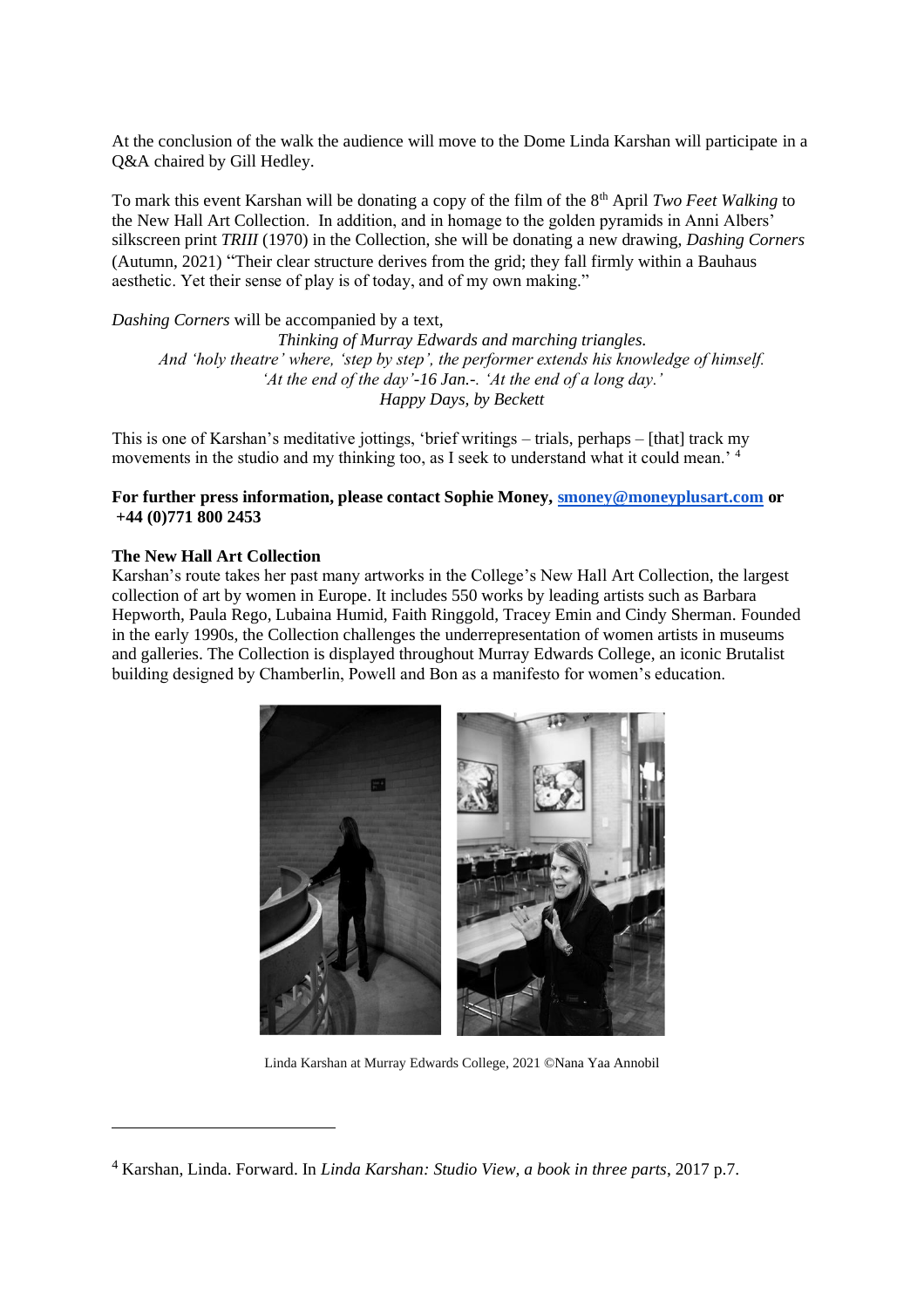At the conclusion of the walk the audience will move to the Dome Linda Karshan will participate in a Q&A chaired by Gill Hedley.

To mark this event Karshan will be donating a copy of the film of the 8th April *Two Feet Walking* to the New Hall Art Collection. In addition, and in homage to the golden pyramids in Anni Albers' silkscreen print *TRIII* (1970) in the Collection, she will be donating a new drawing, *Dashing Corners*  (Autumn, 2021) "Their clear structure derives from the grid; they fall firmly within a Bauhaus aesthetic. Yet their sense of play is of today, and of my own making."

*Dashing Corners* will be accompanied by a text,

*Thinking of Murray Edwards and marching triangles. And 'holy theatre' where, 'step by step', the performer extends his knowledge of himself. 'At the end of the day'-16 Jan.-. 'At the end of a long day.' Happy Days, by Beckett*

This is one of Karshan's meditative jottings, 'brief writings – trials, perhaps – [that] track my movements in the studio and my thinking too, as I seek to understand what it could mean.<sup>4</sup>

### **For further press information, please contact Sophie Money[, smoney@moneyplusart.com](mailto:smoney@moneyplusart.com) or +44 (0)771 800 2453**

### **The New Hall Art Collection**

Karshan's route takes her past many artworks in the College's New Hall Art Collection, the largest collection of art by women in Europe. It includes 550 works by leading artists such as Barbara Hepworth, Paula Rego, Lubaina Humid, Faith Ringgold, Tracey Emin and Cindy Sherman. Founded in the early 1990s, the Collection challenges the underrepresentation of women artists in museums and galleries. The Collection is displayed throughout Murray Edwards College, an iconic Brutalist building designed by Chamberlin, Powell and Bon as a manifesto for women's education.



Linda Karshan at Murray Edwards College, 2021 ©Nana Yaa Annobil

<sup>4</sup> Karshan, Linda. Forward. In *Linda Karshan: Studio View, a book in three parts*, 2017 p.7.